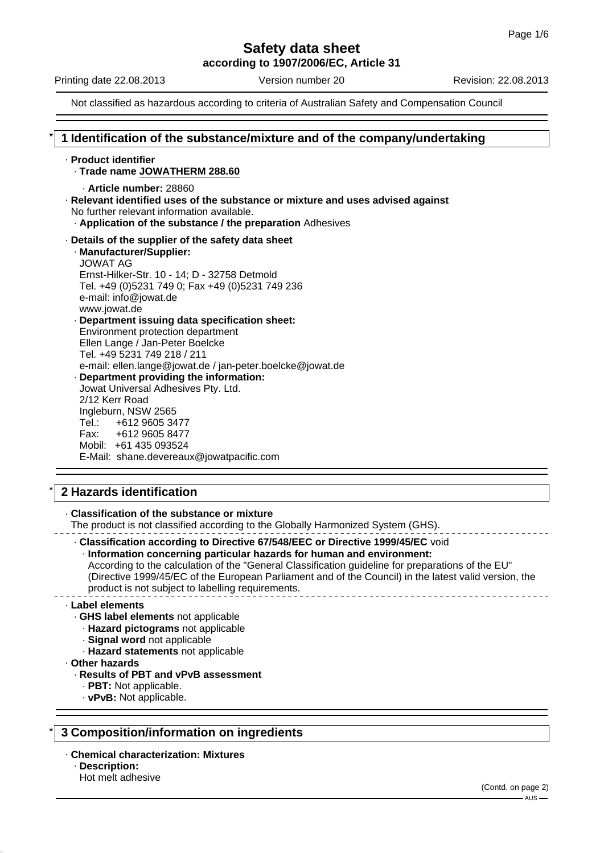# **Safety data sheet**

**according to 1907/2006/EC, Article 31**

Printing date 22.08.2013 Version number 20 Revision: 22.08.2013

Not classified as hazardous according to criteria of Australian Safety and Compensation Council

# \* **1 Identification of the substance/mixture and of the company/undertaking**

#### · **Product identifier**

- · **Trade name JOWATHERM 288.60**
	- · **Article number:** 28860
- · **Relevant identified uses of the substance or mixture and uses advised against** No further relevant information available.
	- · **Application of the substance / the preparation** Adhesives
- · **Details of the supplier of the safety data sheet** · **Manufacturer/Supplier:** JOWAT AG
	- Ernst-Hilker-Str. 10 14; D 32758 Detmold Tel. +49 (0)5231 749 0; Fax +49 (0)5231 749 236 e-mail: info@jowat.de www.jowat.de · **Department issuing data specification sheet:** Environment protection department
	- Ellen Lange / Jan-Peter Boelcke Tel. +49 5231 749 218 / 211 e-mail: ellen.lange@jowat.de / jan-peter.boelcke@jowat.de · **Department providing the information:**

Jowat Universal Adhesives Pty. Ltd. 2/12 Kerr Road Ingleburn, NSW 2565 Tel.: +612 9605 3477 Fax: +612 9605 8477 Mobil: +61 435 093524 E-Mail: shane.devereaux@jowatpacific.com

# \* **2 Hazards identification**

· **Classification of the substance or mixture**

The product is not classified according to the Globally Harmonized System (GHS).

· **Classification according to Directive 67/548/EEC or Directive 1999/45/EC** void

· **Information concerning particular hazards for human and environment:**

According to the calculation of the "General Classification guideline for preparations of the EU" (Directive 1999/45/EC of the European Parliament and of the Council) in the latest valid version, the product is not subject to labelling requirements.

#### · **Label elements**

- · **GHS label elements** not applicable
- · **Hazard pictograms** not applicable
- · **Signal word** not applicable
	- · **Hazard statements** not applicable
- · **Other hazards**

#### · **Results of PBT and vPvB assessment**

- · **PBT:** Not applicable.
- · **vPvB:** Not applicable.

# \* **3 Composition/information on ingredients**

#### · **Chemical characterization: Mixtures**

- · **Description:**
- Hot melt adhesive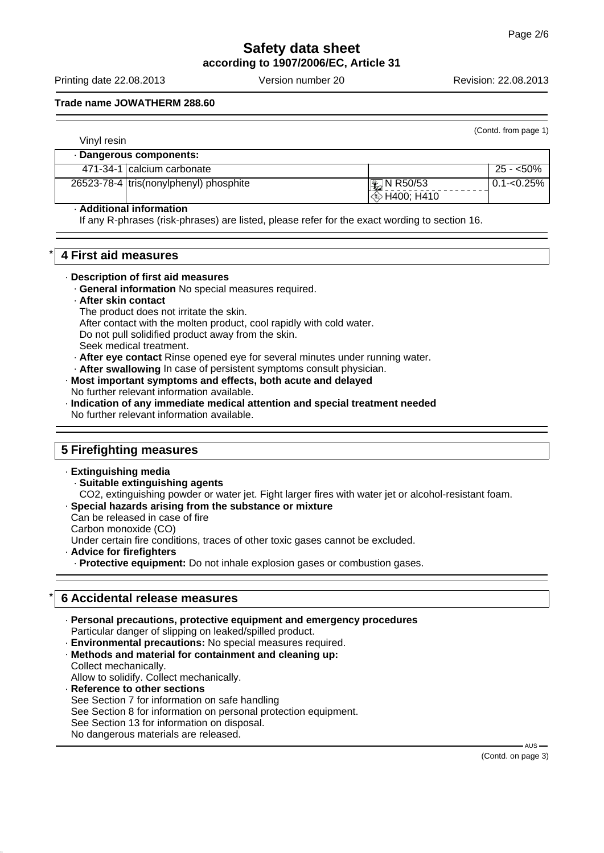# **Safety data sheet according to 1907/2006/EC, Article 31**

Printing date 22.08.2013 Version number 20 Revision: 22.08.2013

(Contd. from page 1)

#### **Trade name JOWATHERM 288.60**

| Vinyl resin |                                          |                       |                |
|-------------|------------------------------------------|-----------------------|----------------|
|             | · Dangerous components:                  |                       |                |
|             | 471-34-1 calcium carbonate               |                       | $25 - 50\%$    |
|             | 26523-78-4   tris(nonylphenyl) phosphite | $\mathbb{E}$ N R50/53 | $0.1 - 0.25\%$ |
|             |                                          | $\otimes$ H400; H410  |                |

#### · **Additional information**

If any R-phrases (risk-phrases) are listed, please refer for the exact wording to section 16.

#### \* **4 First aid measures**

#### · **Description of first aid measures**

- · **General information** No special measures required.
- · **After skin contact**
	- The product does not irritate the skin.
- After contact with the molten product, cool rapidly with cold water.
- Do not pull solidified product away from the skin.
- Seek medical treatment.
- · **After eye contact** Rinse opened eye for several minutes under running water.
- · **After swallowing** In case of persistent symptoms consult physician.

#### · **Most important symptoms and effects, both acute and delayed** No further relevant information available.

· **Indication of any immediate medical attention and special treatment needed** No further relevant information available.

# **5 Firefighting measures**

#### · **Extinguishing media**

- · **Suitable extinguishing agents**
- CO2, extinguishing powder or water jet. Fight larger fires with water jet or alcohol-resistant foam.
- · **Special hazards arising from the substance or mixture**

Can be released in case of fire

Carbon monoxide (CO)

Under certain fire conditions, traces of other toxic gases cannot be excluded.

· **Advice for firefighters**

· **Protective equipment:** Do not inhale explosion gases or combustion gases.

# \* **6 Accidental release measures**

· **Personal precautions, protective equipment and emergency procedures** Particular danger of slipping on leaked/spilled product.

- · **Environmental precautions:** No special measures required. · **Methods and material for containment and cleaning up:**
- Collect mechanically.
- Allow to solidify. Collect mechanically.
- · **Reference to other sections** See Section 7 for information on safe handling See Section 8 for information on personal protection equipment. See Section 13 for information on disposal. No dangerous materials are released.

AUS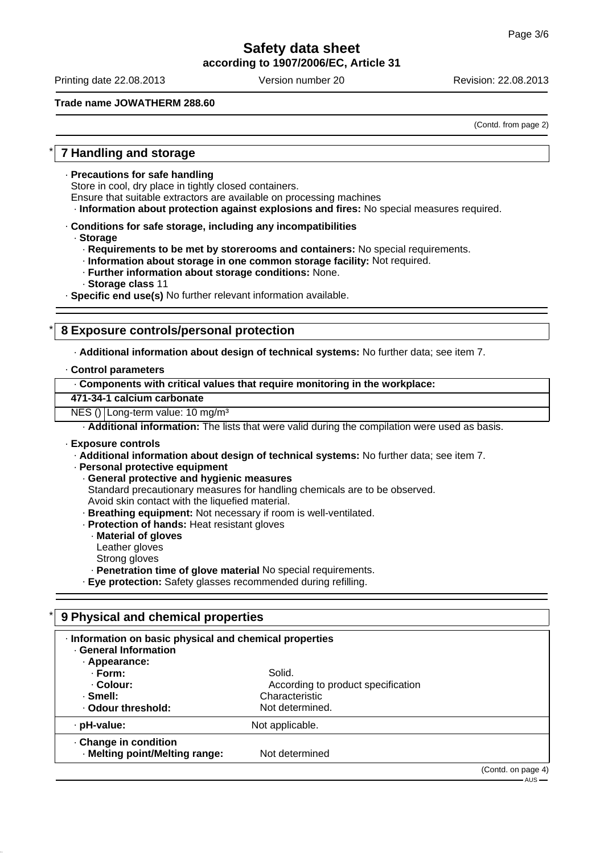# **Safety data sheet according to 1907/2006/EC, Article 31**

Printing date 22.08.2013 Version number 20 Revision: 22.08.2013

#### **Trade name JOWATHERM 288.60**

(Contd. from page 2)

# \* **7 Handling and storage**

· **Precautions for safe handling**

Store in cool, dry place in tightly closed containers.

Ensure that suitable extractors are available on processing machines

· **Information about protection against explosions and fires:** No special measures required.

- · **Conditions for safe storage, including any incompatibilities**
	- · **Storage**
		- · **Requirements to be met by storerooms and containers:** No special requirements.
		- · **Information about storage in one common storage facility:** Not required.
		- · **Further information about storage conditions:** None.
		- · **Storage class** 11

· **Specific end use(s)** No further relevant information available.

# \* **8 Exposure controls/personal protection**

· **Additional information about design of technical systems:** No further data; see item 7.

#### · **Control parameters**

| Components with critical values that require monitoring in the workplace: |  |  |
|---------------------------------------------------------------------------|--|--|
|                                                                           |  |  |

#### **471-34-1 calcium carbonate**

NES () Long-term value: 10 mg/m<sup>3</sup>

· **Additional information:** The lists that were valid during the compilation were used as basis.

#### · **Exposure controls**

· **Additional information about design of technical systems:** No further data; see item 7.

- · **Personal protective equipment**
	- · **General protective and hygienic measures**
	- Standard precautionary measures for handling chemicals are to be observed.
	- Avoid skin contact with the liquefied material.
	- · **Breathing equipment:** Not necessary if room is well-ventilated.
	- · **Protection of hands:** Heat resistant gloves
	- · **Material of gloves**
	- Leather gloves
	- Strong gloves
	- · **Penetration time of glove material** No special requirements.

· **Eye protection:** Safety glasses recommended during refilling.

# \* **9 Physical and chemical properties**

| Information on basic physical and chemical properties<br><b>General Information</b> |                                    |                    |
|-------------------------------------------------------------------------------------|------------------------------------|--------------------|
| · Appearance:                                                                       |                                    |                    |
| · Form:                                                                             | Solid.                             |                    |
| . Colour:                                                                           | According to product specification |                    |
| ⋅ Smell:                                                                            | Characteristic                     |                    |
| . Odour threshold:                                                                  | Not determined.                    |                    |
| · pH-value:                                                                         | Not applicable.                    |                    |
| Change in condition<br>· Melting point/Melting range:                               | Not determined                     |                    |
|                                                                                     |                                    | (Contd. on page 4) |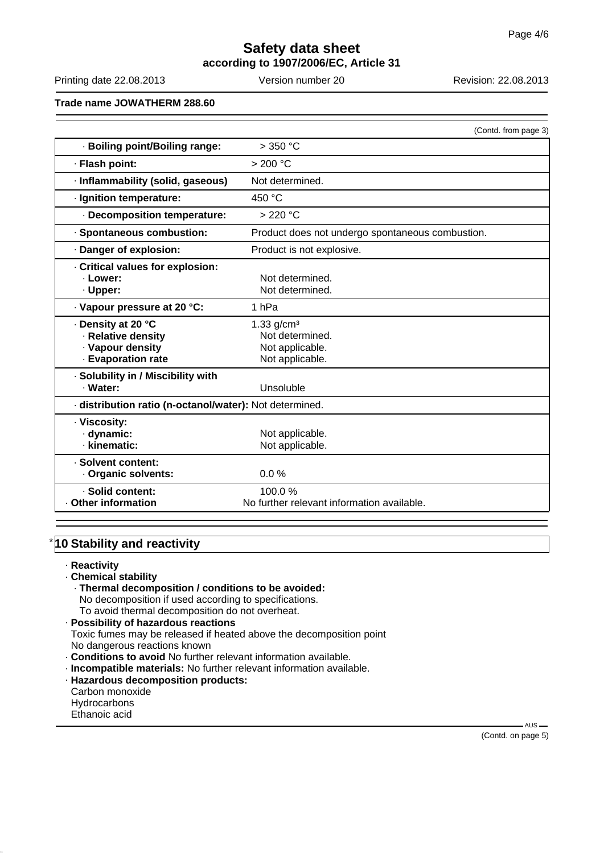# **Safety data sheet according to 1907/2006/EC, Article 31**

Printing date 22.08.2013 Version number 20 Revision: 22.08.2013

**Trade name JOWATHERM 288.60**

|                                                                                    | (Contd. from page 3)                                                              |  |
|------------------------------------------------------------------------------------|-----------------------------------------------------------------------------------|--|
| · Boiling point/Boiling range:                                                     | $>350$ °C                                                                         |  |
| · Flash point:                                                                     | > 200 °C                                                                          |  |
| · Inflammability (solid, gaseous)                                                  | Not determined.                                                                   |  |
| · Ignition temperature:                                                            | 450 °C                                                                            |  |
| Decomposition temperature:                                                         | $>220$ °C                                                                         |  |
| · Spontaneous combustion:                                                          | Product does not undergo spontaneous combustion.                                  |  |
| · Danger of explosion:                                                             | Product is not explosive.                                                         |  |
| Critical values for explosion:<br>· Lower:<br>· Upper:                             | Not determined.<br>Not determined.                                                |  |
| Vapour pressure at 20 °C:                                                          | 1 <sub>hPa</sub>                                                                  |  |
| · Density at 20 °C<br>· Relative density<br>· Vapour density<br>· Evaporation rate | $1.33$ g/cm <sup>3</sup><br>Not determined.<br>Not applicable.<br>Not applicable. |  |
| · Solubility in / Miscibility with<br>· Water:                                     | Unsoluble                                                                         |  |
| · distribution ratio (n-octanol/water): Not determined.                            |                                                                                   |  |
| · Viscosity:<br>· dynamic:<br>· kinematic:                                         | Not applicable.<br>Not applicable.                                                |  |
| · Solvent content:<br>Organic solvents:                                            | 0.0%                                                                              |  |
| · Solid content:<br>Other information                                              | 100.0%<br>No further relevant information available.                              |  |

# **10 Stability and reactivity**

- · **Reactivity**
- · **Chemical stability**
- · **Thermal decomposition / conditions to be avoided:** No decomposition if used according to specifications.
	- To avoid thermal decomposition do not overheat.
- · **Possibility of hazardous reactions** Toxic fumes may be released if heated above the decomposition point No dangerous reactions known
- · **Conditions to avoid** No further relevant information available.
- · **Incompatible materials:** No further relevant information available.
- · **Hazardous decomposition products:** Carbon monoxide Hydrocarbons Ethanoic acid

 $-AUS -$ (Contd. on page 5)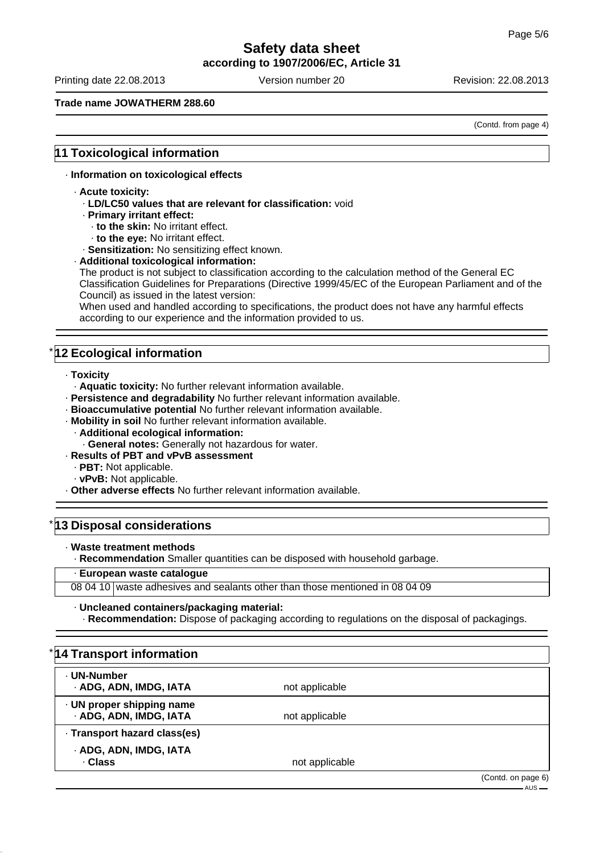# **Safety data sheet**

**according to 1907/2006/EC, Article 31**

Printing date 22.08.2013 Version number 20 Revision: 22.08.2013

#### **Trade name JOWATHERM 288.60**

(Contd. from page 4)

#### **11 Toxicological information**

#### · **Information on toxicological effects**

- · **Acute toxicity:**
	- · **LD/LC50 values that are relevant for classification:** void
	- · **Primary irritant effect:**
		- · **to the skin:** No irritant effect.
		- · **to the eye:** No irritant effect.

· **Sensitization:** No sensitizing effect known.

#### · **Additional toxicological information:**

The product is not subject to classification according to the calculation method of the General EC Classification Guidelines for Preparations (Directive 1999/45/EC of the European Parliament and of the Council) as issued in the latest version:

When used and handled according to specifications, the product does not have any harmful effects according to our experience and the information provided to us.

# **12 Ecological information**

- · **Toxicity**
	- · **Aquatic toxicity:** No further relevant information available.
- · **Persistence and degradability** No further relevant information available.
- · **Bioaccumulative potential** No further relevant information available.
- · **Mobility in soil** No further relevant information available.
	- · **Additional ecological information:**
	- · **General notes:** Generally not hazardous for water.
- · **Results of PBT and vPvB assessment**
	- · **PBT:** Not applicable.
	- · **vPvB:** Not applicable.
- · **Other adverse effects** No further relevant information available.

### **13 Disposal considerations**

· **Waste treatment methods**

· **Recommendation** Smaller quantities can be disposed with household garbage.

#### · **European waste catalogue**

08 04 10 waste adhesives and sealants other than those mentioned in 08 04 09

#### · **Uncleaned containers/packaging material:**

· **Recommendation:** Dispose of packaging according to regulations on the disposal of packagings.

| *14 Transport information                           |                |                                   |
|-----------------------------------------------------|----------------|-----------------------------------|
| · UN-Number<br>· ADG, ADN, IMDG, IATA               | not applicable |                                   |
| · UN proper shipping name<br>· ADG, ADN, IMDG, IATA | not applicable |                                   |
| · Transport hazard class(es)                        |                |                                   |
| · ADG, ADN, IMDG, IATA<br>· Class                   | not applicable |                                   |
|                                                     |                | (Contd. on page 6)<br>$-$ AUS $-$ |